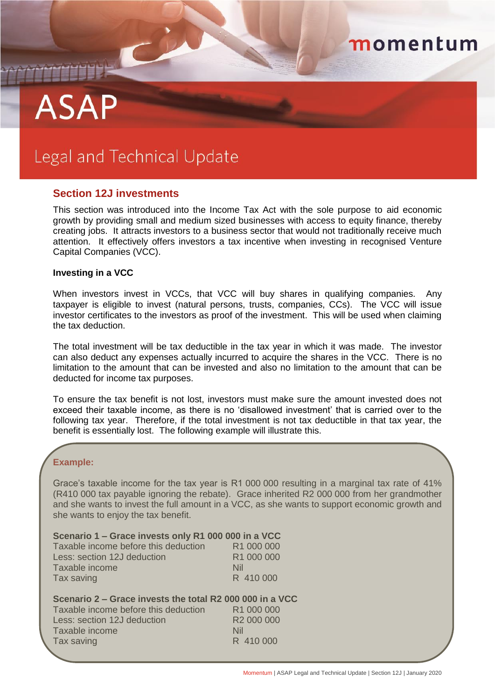# **ASAP**

# Legal and Technical Update

### **Section 12J investments**

This section was introduced into the Income Tax Act with the sole purpose to aid economic growth by providing small and medium sized businesses with access to equity finance, thereby creating jobs. It attracts investors to a business sector that would not traditionally receive much attention. It effectively offers investors a tax incentive when investing in recognised Venture Capital Companies (VCC).

#### **Investing in a VCC**

When investors invest in VCCs, that VCC will buy shares in qualifying companies. Any taxpayer is eligible to invest (natural persons, trusts, companies, CCs). The VCC will issue investor certificates to the investors as proof of the investment. This will be used when claiming the tax deduction.

The total investment will be tax deductible in the tax year in which it was made. The investor can also deduct any expenses actually incurred to acquire the shares in the VCC. There is no limitation to the amount that can be invested and also no limitation to the amount that can be deducted for income tax purposes.

To ensure the tax benefit is not lost, investors must make sure the amount invested does not exceed their taxable income, as there is no 'disallowed investment' that is carried over to the following tax year. Therefore, if the total investment is not tax deductible in that tax year, the benefit is essentially lost. The following example will illustrate this.

#### **Example:**

Grace's taxable income for the tax year is R1 000 000 resulting in a marginal tax rate of 41% (R410 000 tax payable ignoring the rebate). Grace inherited R2 000 000 from her grandmother and she wants to invest the full amount in a VCC, as she wants to support economic growth and she wants to enjoy the tax benefit.

| Scenario 1 – Grace invests only R1 000 000 in a VCC |                        |
|-----------------------------------------------------|------------------------|
| Taxable income before this deduction                | R <sub>1</sub> 000 000 |
| Less: section 12J deduction                         | R1 000 000             |
| Taxable income                                      | Nil                    |
| Tax saving                                          | R 410 000              |

| Scenario 2 – Grace invests the total R2 000 000 in a VCC |                        |
|----------------------------------------------------------|------------------------|
| Taxable income before this deduction                     | R <sub>1</sub> 000 000 |
| Less: section 12J deduction                              | R <sub>2</sub> 000 000 |
| Taxable income                                           | Nil                    |
| Tax saving                                               | R 410 000              |
|                                                          |                        |

momentum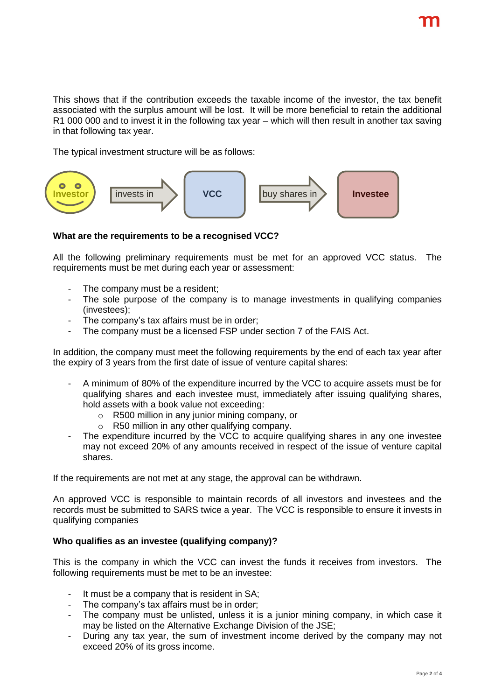This shows that if the contribution exceeds the taxable income of the investor, the tax benefit associated with the surplus amount will be lost. It will be more beneficial to retain the additional R1 000 000 and to invest it in the following tax year – which will then result in another tax saving in that following tax year.

The typical investment structure will be as follows:



## **What are the requirements to be a recognised VCC?**

All the following preliminary requirements must be met for an approved VCC status. The requirements must be met during each year or assessment:

- The company must be a resident:
- The sole purpose of the company is to manage investments in qualifying companies (investees);
- The company's tax affairs must be in order;
- The company must be a licensed FSP under section 7 of the FAIS Act.

In addition, the company must meet the following requirements by the end of each tax year after the expiry of 3 years from the first date of issue of venture capital shares:

- A minimum of 80% of the expenditure incurred by the VCC to acquire assets must be for qualifying shares and each investee must, immediately after issuing qualifying shares, hold assets with a book value not exceeding:
	- $\circ$  R500 million in any junior mining company, or
	- o R50 million in any other qualifying company.
- The expenditure incurred by the VCC to acquire qualifying shares in any one investee may not exceed 20% of any amounts received in respect of the issue of venture capital shares.

If the requirements are not met at any stage, the approval can be withdrawn.

An approved VCC is responsible to maintain records of all investors and investees and the records must be submitted to SARS twice a year. The VCC is responsible to ensure it invests in qualifying companies

#### **Who qualifies as an investee (qualifying company)?**

This is the company in which the VCC can invest the funds it receives from investors. The following requirements must be met to be an investee:

- It must be a company that is resident in SA;
- The company's tax affairs must be in order;
- The company must be unlisted, unless it is a junior mining company, in which case it may be listed on the Alternative Exchange Division of the JSE;
- During any tax year, the sum of investment income derived by the company may not exceed 20% of its gross income.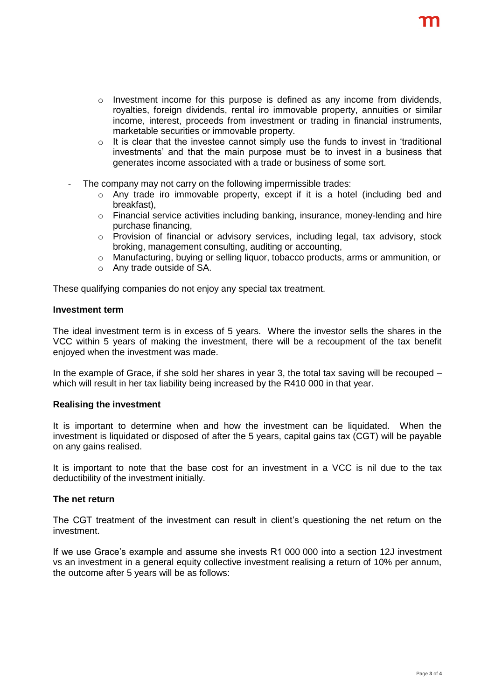- $\circ$  Investment income for this purpose is defined as any income from dividends, royalties, foreign dividends, rental iro immovable property, annuities or similar income, interest, proceeds from investment or trading in financial instruments, marketable securities or immovable property.
- $\circ$  It is clear that the investee cannot simply use the funds to invest in 'traditional investments' and that the main purpose must be to invest in a business that generates income associated with a trade or business of some sort.
- The company may not carry on the following impermissible trades:
	- o Any trade iro immovable property, except if it is a hotel (including bed and breakfast),
	- $\circ$  Financial service activities including banking, insurance, money-lending and hire purchase financing,
	- o Provision of financial or advisory services, including legal, tax advisory, stock broking, management consulting, auditing or accounting,
	- $\circ$  Manufacturing, buying or selling liquor, tobacco products, arms or ammunition, or
	- o Any trade outside of SA.

These qualifying companies do not enjoy any special tax treatment.

#### **Investment term**

The ideal investment term is in excess of 5 years. Where the investor sells the shares in the VCC within 5 years of making the investment, there will be a recoupment of the tax benefit enjoyed when the investment was made.

In the example of Grace, if she sold her shares in year 3, the total tax saving will be recouped – which will result in her tax liability being increased by the R410 000 in that year.

#### **Realising the investment**

It is important to determine when and how the investment can be liquidated. When the investment is liquidated or disposed of after the 5 years, capital gains tax (CGT) will be payable on any gains realised.

It is important to note that the base cost for an investment in a VCC is nil due to the tax deductibility of the investment initially.

#### **The net return**

The CGT treatment of the investment can result in client's questioning the net return on the investment.

If we use Grace's example and assume she invests R1 000 000 into a section 12J investment vs an investment in a general equity collective investment realising a return of 10% per annum, the outcome after 5 years will be as follows: